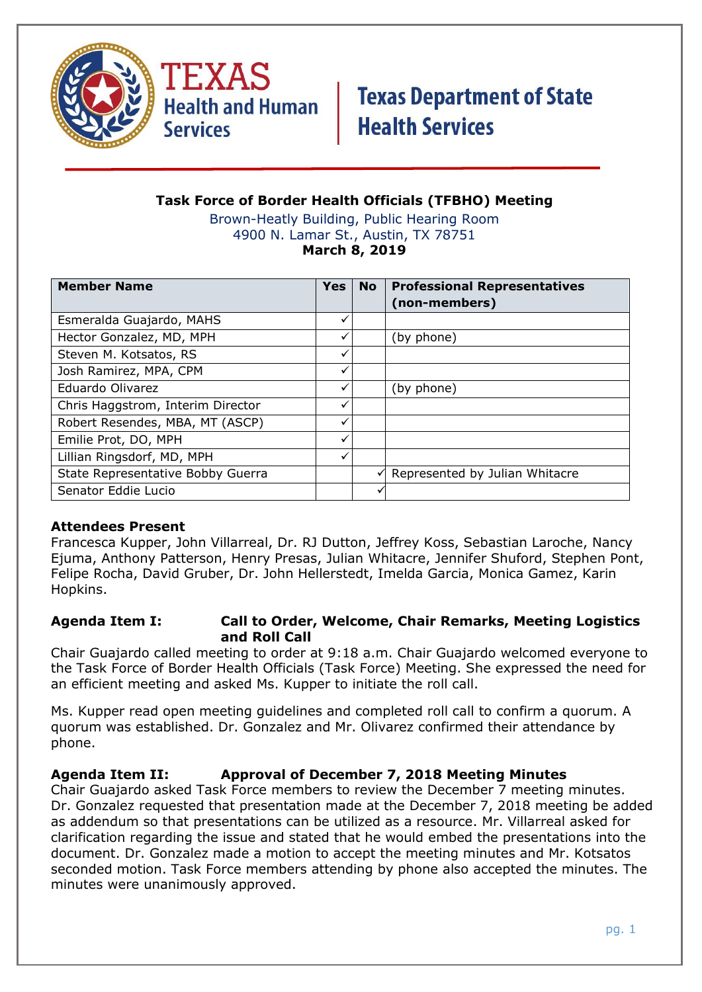



### **Task Force of Border Health Officials (TFBHO) Meeting**

Brown-Heatly Building, Public Hearing Room 4900 N. Lamar St., Austin, TX 78751 **March 8, 2019**

| <b>Member Name</b>                | <b>Yes</b> | <b>No</b> | <b>Professional Representatives</b><br>(non-members) |
|-----------------------------------|------------|-----------|------------------------------------------------------|
| Esmeralda Guajardo, MAHS          |            |           |                                                      |
| Hector Gonzalez, MD, MPH          |            |           | (by phone)                                           |
| Steven M. Kotsatos, RS            |            |           |                                                      |
| Josh Ramirez, MPA, CPM            |            |           |                                                      |
| Eduardo Olivarez                  |            |           | (by phone)                                           |
| Chris Haggstrom, Interim Director |            |           |                                                      |
| Robert Resendes, MBA, MT (ASCP)   | ✓          |           |                                                      |
| Emilie Prot, DO, MPH              | ✓          |           |                                                      |
| Lillian Ringsdorf, MD, MPH        | ✓          |           |                                                      |
| State Representative Bobby Guerra |            |           | Represented by Julian Whitacre                       |
| Senator Eddie Lucio               |            |           |                                                      |

#### **Attendees Present**

Francesca Kupper, John Villarreal, Dr. RJ Dutton, Jeffrey Koss, Sebastian Laroche, Nancy Ejuma, Anthony Patterson, Henry Presas, Julian Whitacre, Jennifer Shuford, Stephen Pont, Felipe Rocha, David Gruber, Dr. John Hellerstedt, Imelda Garcia, Monica Gamez, Karin Hopkins.

#### **Agenda Item I: Call to Order, Welcome, Chair Remarks, Meeting Logistics and Roll Call**

Chair Guajardo called meeting to order at 9:18 a.m. Chair Guajardo welcomed everyone to the Task Force of Border Health Officials (Task Force) Meeting. She expressed the need for an efficient meeting and asked Ms. Kupper to initiate the roll call.

Ms. Kupper read open meeting guidelines and completed roll call to confirm a quorum. A quorum was established. Dr. Gonzalez and Mr. Olivarez confirmed their attendance by phone.

#### **Agenda Item II: Approval of December 7, 2018 Meeting Minutes**

Chair Guajardo asked Task Force members to review the December 7 meeting minutes. Dr. Gonzalez requested that presentation made at the December 7, 2018 meeting be added as addendum so that presentations can be utilized as a resource. Mr. Villarreal asked for clarification regarding the issue and stated that he would embed the presentations into the document. Dr. Gonzalez made a motion to accept the meeting minutes and Mr. Kotsatos seconded motion. Task Force members attending by phone also accepted the minutes. The minutes were unanimously approved.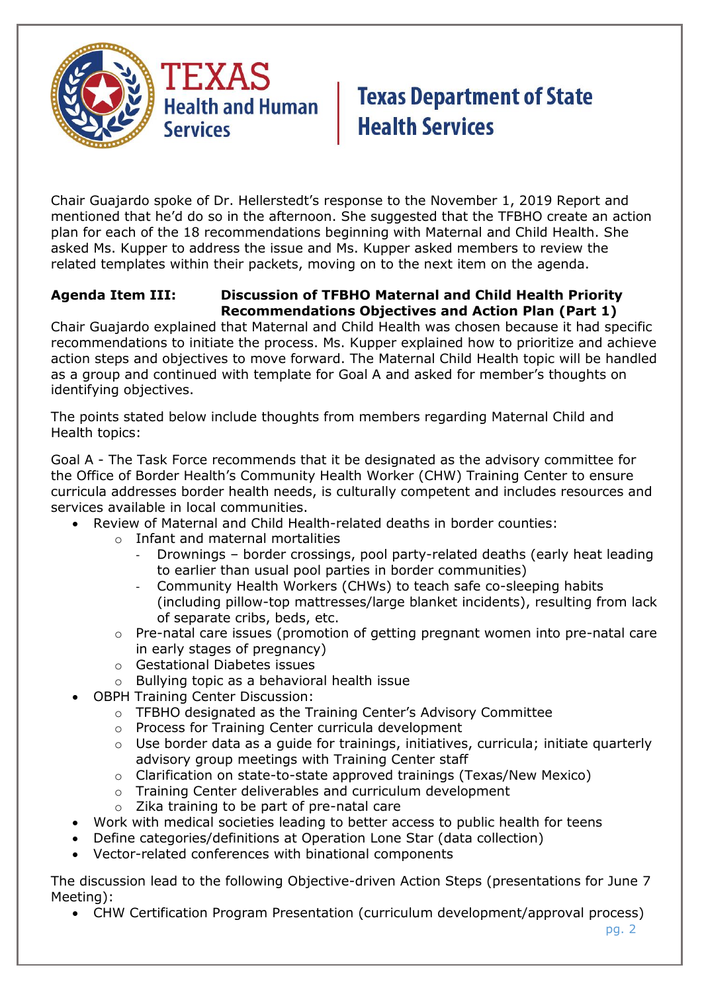

Chair Guajardo spoke of Dr. Hellerstedt's response to the November 1, 2019 Report and mentioned that he'd do so in the afternoon. She suggested that the TFBHO create an action plan for each of the 18 recommendations beginning with Maternal and Child Health. She asked Ms. Kupper to address the issue and Ms. Kupper asked members to review the related templates within their packets, moving on to the next item on the agenda.

### **Agenda Item III: Discussion of TFBHO Maternal and Child Health Priority Recommendations Objectives and Action Plan (Part 1)**

Chair Guajardo explained that Maternal and Child Health was chosen because it had specific recommendations to initiate the process. Ms. Kupper explained how to prioritize and achieve action steps and objectives to move forward. The Maternal Child Health topic will be handled as a group and continued with template for Goal A and asked for member's thoughts on identifying objectives.

The points stated below include thoughts from members regarding Maternal Child and Health topics:

Goal A - The Task Force recommends that it be designated as the advisory committee for the Office of Border Health's Community Health Worker (CHW) Training Center to ensure curricula addresses border health needs, is culturally competent and includes resources and services available in local communities.

- Review of Maternal and Child Health-related deaths in border counties:
	- o Infant and maternal mortalities
		- Drownings border crossings, pool party-related deaths (early heat leading to earlier than usual pool parties in border communities)
		- Community Health Workers (CHWs) to teach safe co-sleeping habits (including pillow-top mattresses/large blanket incidents), resulting from lack of separate cribs, beds, etc.
	- o Pre-natal care issues (promotion of getting pregnant women into pre-natal care in early stages of pregnancy)
	- o Gestational Diabetes issues
	- o Bullying topic as a behavioral health issue
	- OBPH Training Center Discussion:
		- o TFBHO designated as the Training Center's Advisory Committee
		- o Process for Training Center curricula development
		- $\circ$  Use border data as a quide for trainings, initiatives, curricula; initiate quarterly advisory group meetings with Training Center staff
		- o Clarification on state-to-state approved trainings (Texas/New Mexico)
		- o Training Center deliverables and curriculum development
		- o Zika training to be part of pre-natal care
- Work with medical societies leading to better access to public health for teens
- Define categories/definitions at Operation Lone Star (data collection)
- Vector-related conferences with binational components

The discussion lead to the following Objective-driven Action Steps (presentations for June 7 Meeting):

• CHW Certification Program Presentation (curriculum development/approval process)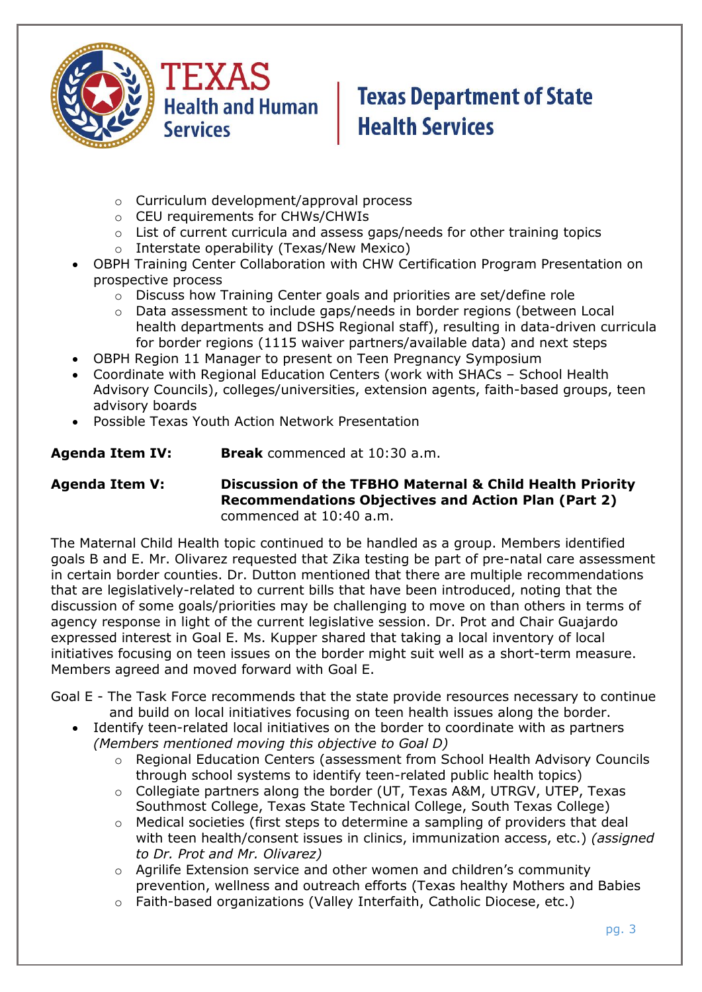

- o Curriculum development/approval process
- o CEU requirements for CHWs/CHWIs
- o List of current curricula and assess gaps/needs for other training topics
- o Interstate operability (Texas/New Mexico)
- OBPH Training Center Collaboration with CHW Certification Program Presentation on prospective process
	- $\circ$  Discuss how Training Center goals and priorities are set/define role
	- o Data assessment to include gaps/needs in border regions (between Local health departments and DSHS Regional staff), resulting in data-driven curricula for border regions (1115 waiver partners/available data) and next steps
- OBPH Region 11 Manager to present on Teen Pregnancy Symposium
- Coordinate with Regional Education Centers (work with SHACs School Health Advisory Councils), colleges/universities, extension agents, faith-based groups, teen advisory boards
- Possible Texas Youth Action Network Presentation

**Agenda Item IV: Break** commenced at 10:30 a.m.

#### **Agenda Item V: Discussion of the TFBHO Maternal & Child Health Priority Recommendations Objectives and Action Plan (Part 2)** commenced at 10:40 a.m.

The Maternal Child Health topic continued to be handled as a group. Members identified goals B and E. Mr. Olivarez requested that Zika testing be part of pre-natal care assessment in certain border counties. Dr. Dutton mentioned that there are multiple recommendations that are legislatively-related to current bills that have been introduced, noting that the discussion of some goals/priorities may be challenging to move on than others in terms of agency response in light of the current legislative session. Dr. Prot and Chair Guajardo expressed interest in Goal E. Ms. Kupper shared that taking a local inventory of local initiatives focusing on teen issues on the border might suit well as a short-term measure. Members agreed and moved forward with Goal E.

Goal E - The Task Force recommends that the state provide resources necessary to continue and build on local initiatives focusing on teen health issues along the border.

- Identify teen-related local initiatives on the border to coordinate with as partners *(Members mentioned moving this objective to Goal D)*
	- o Regional Education Centers (assessment from School Health Advisory Councils through school systems to identify teen-related public health topics)
	- o Collegiate partners along the border (UT, Texas A&M, UTRGV, UTEP, Texas Southmost College, Texas State Technical College, South Texas College)
	- $\circ$  Medical societies (first steps to determine a sampling of providers that deal with teen health/consent issues in clinics, immunization access, etc.) *(assigned to Dr. Prot and Mr. Olivarez)*
	- o Agrilife Extension service and other women and children's community prevention, wellness and outreach efforts (Texas healthy Mothers and Babies
	- o Faith-based organizations (Valley Interfaith, Catholic Diocese, etc.)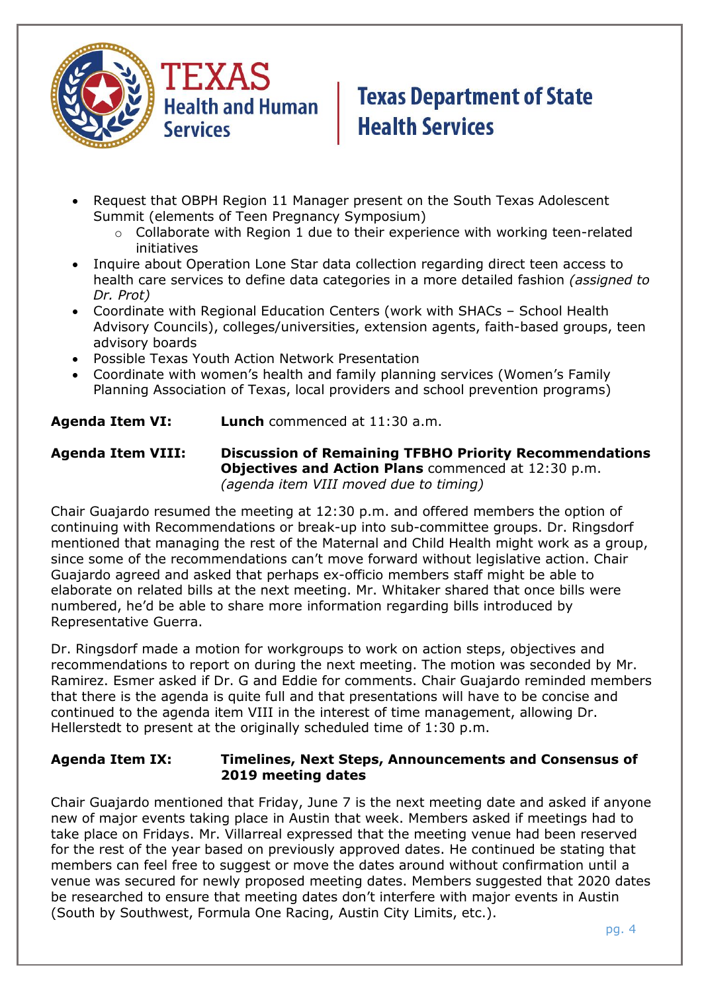

- Request that OBPH Region 11 Manager present on the South Texas Adolescent Summit (elements of Teen Pregnancy Symposium)
	- o Collaborate with Region 1 due to their experience with working teen-related initiatives
- Inquire about Operation Lone Star data collection regarding direct teen access to health care services to define data categories in a more detailed fashion *(assigned to Dr. Prot)*
- Coordinate with Regional Education Centers (work with SHACs School Health Advisory Councils), colleges/universities, extension agents, faith-based groups, teen advisory boards
- Possible Texas Youth Action Network Presentation
- Coordinate with women's health and family planning services (Women's Family Planning Association of Texas, local providers and school prevention programs)

**Agenda Item VI: Lunch** commenced at 11:30 a.m.

**Agenda Item VIII: Discussion of Remaining TFBHO Priority Recommendations Objectives and Action Plans** commenced at 12:30 p.m. *(agenda item VIII moved due to timing)*

Chair Guajardo resumed the meeting at 12:30 p.m. and offered members the option of continuing with Recommendations or break-up into sub-committee groups. Dr. Ringsdorf mentioned that managing the rest of the Maternal and Child Health might work as a group, since some of the recommendations can't move forward without legislative action. Chair Guajardo agreed and asked that perhaps ex-officio members staff might be able to elaborate on related bills at the next meeting. Mr. Whitaker shared that once bills were numbered, he'd be able to share more information regarding bills introduced by Representative Guerra.

Dr. Ringsdorf made a motion for workgroups to work on action steps, objectives and recommendations to report on during the next meeting. The motion was seconded by Mr. Ramirez. Esmer asked if Dr. G and Eddie for comments. Chair Guajardo reminded members that there is the agenda is quite full and that presentations will have to be concise and continued to the agenda item VIII in the interest of time management, allowing Dr. Hellerstedt to present at the originally scheduled time of 1:30 p.m.

#### **Agenda Item IX: Timelines, Next Steps, Announcements and Consensus of 2019 meeting dates**

Chair Guajardo mentioned that Friday, June 7 is the next meeting date and asked if anyone new of major events taking place in Austin that week. Members asked if meetings had to take place on Fridays. Mr. Villarreal expressed that the meeting venue had been reserved for the rest of the year based on previously approved dates. He continued be stating that members can feel free to suggest or move the dates around without confirmation until a venue was secured for newly proposed meeting dates. Members suggested that 2020 dates be researched to ensure that meeting dates don't interfere with major events in Austin (South by Southwest, Formula One Racing, Austin City Limits, etc.).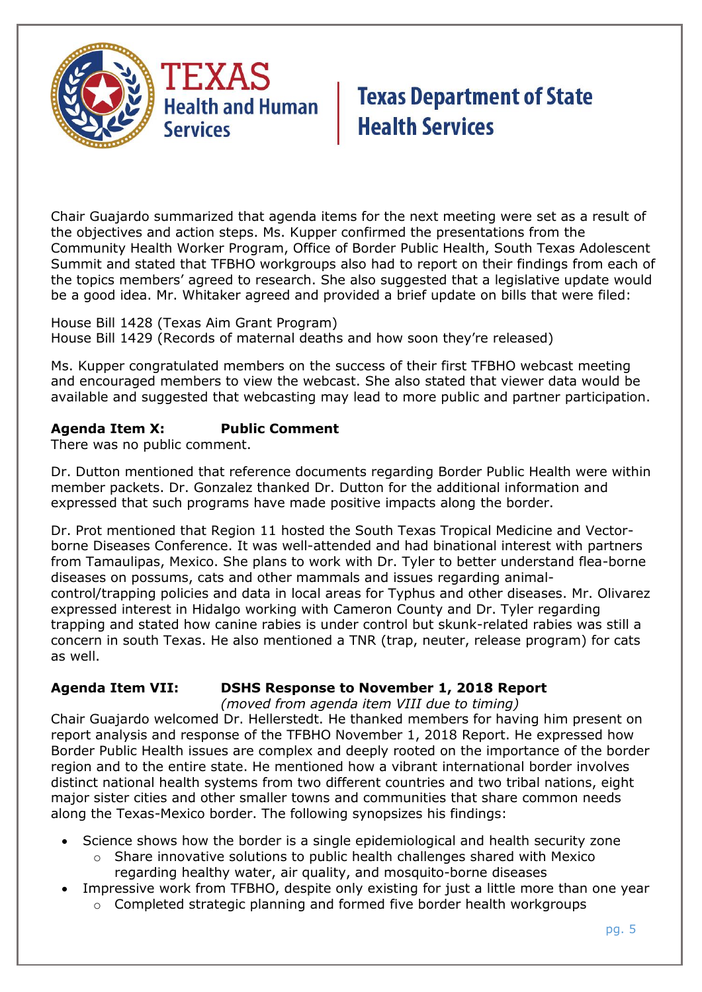

Chair Guajardo summarized that agenda items for the next meeting were set as a result of the objectives and action steps. Ms. Kupper confirmed the presentations from the Community Health Worker Program, Office of Border Public Health, South Texas Adolescent Summit and stated that TFBHO workgroups also had to report on their findings from each of the topics members' agreed to research. She also suggested that a legislative update would be a good idea. Mr. Whitaker agreed and provided a brief update on bills that were filed:

House Bill 1428 (Texas Aim Grant Program) House Bill 1429 (Records of maternal deaths and how soon they're released)

Ms. Kupper congratulated members on the success of their first TFBHO webcast meeting and encouraged members to view the webcast. She also stated that viewer data would be available and suggested that webcasting may lead to more public and partner participation.

### **Agenda Item X: Public Comment**

There was no public comment.

Dr. Dutton mentioned that reference documents regarding Border Public Health were within member packets. Dr. Gonzalez thanked Dr. Dutton for the additional information and expressed that such programs have made positive impacts along the border.

Dr. Prot mentioned that Region 11 hosted the South Texas Tropical Medicine and Vectorborne Diseases Conference. It was well-attended and had binational interest with partners from Tamaulipas, Mexico. She plans to work with Dr. Tyler to better understand flea-borne diseases on possums, cats and other mammals and issues regarding animalcontrol/trapping policies and data in local areas for Typhus and other diseases. Mr. Olivarez expressed interest in Hidalgo working with Cameron County and Dr. Tyler regarding trapping and stated how canine rabies is under control but skunk-related rabies was still a concern in south Texas. He also mentioned a TNR (trap, neuter, release program) for cats as well.

### **Agenda Item VII: DSHS Response to November 1, 2018 Report**

*(moved from agenda item VIII due to timing)*

Chair Guajardo welcomed Dr. Hellerstedt. He thanked members for having him present on report analysis and response of the TFBHO November 1, 2018 Report. He expressed how Border Public Health issues are complex and deeply rooted on the importance of the border region and to the entire state. He mentioned how a vibrant international border involves distinct national health systems from two different countries and two tribal nations, eight major sister cities and other smaller towns and communities that share common needs along the Texas-Mexico border. The following synopsizes his findings:

- Science shows how the border is a single epidemiological and health security zone
	- o Share innovative solutions to public health challenges shared with Mexico regarding healthy water, air quality, and mosquito-borne diseases
- Impressive work from TFBHO, despite only existing for just a little more than one year o Completed strategic planning and formed five border health workgroups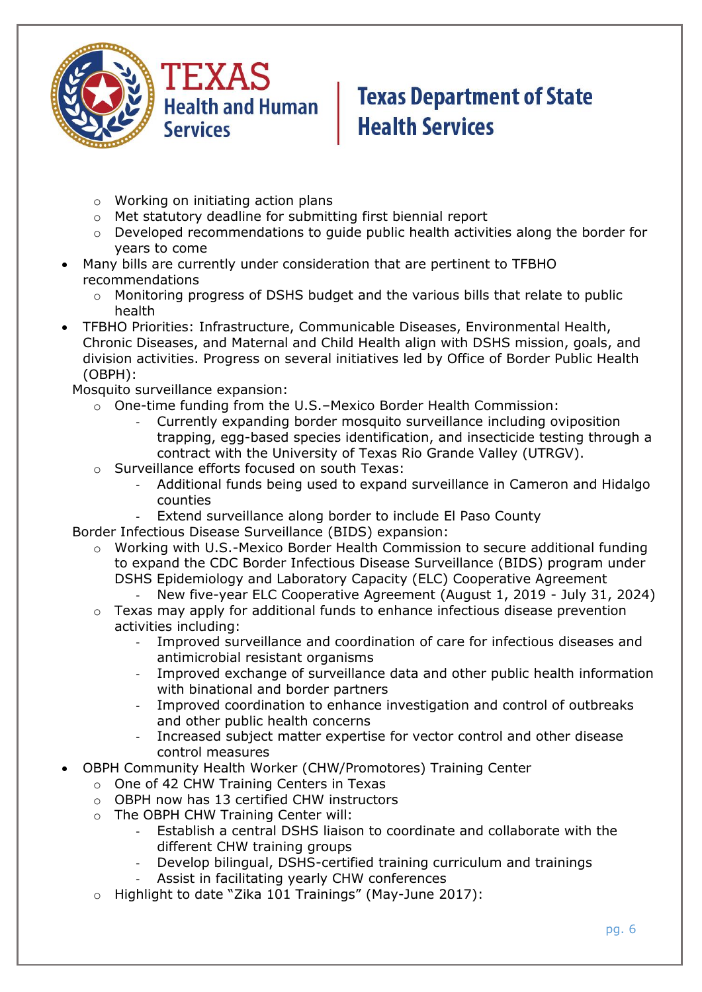

- o Working on initiating action plans
- o Met statutory deadline for submitting first biennial report
- o Developed recommendations to guide public health activities along the border for years to come
- Many bills are currently under consideration that are pertinent to TFBHO recommendations
	- $\circ$  Monitoring progress of DSHS budget and the various bills that relate to public health
- TFBHO Priorities: Infrastructure, Communicable Diseases, Environmental Health, Chronic Diseases, and Maternal and Child Health align with DSHS mission, goals, and division activities. Progress on several initiatives led by Office of Border Public Health (OBPH):

Mosquito surveillance expansion:

- o One-time funding from the U.S.–Mexico Border Health Commission:
	- Currently expanding border mosquito surveillance including oviposition trapping, egg-based species identification, and insecticide testing through a contract with the University of Texas Rio Grande Valley (UTRGV).
- o Surveillance efforts focused on south Texas:
	- Additional funds being used to expand surveillance in Cameron and Hidalgo counties
	- Extend surveillance along border to include El Paso County
- Border Infectious Disease Surveillance (BIDS) expansion:
	- o Working with U.S.-Mexico Border Health Commission to secure additional funding to expand the CDC Border Infectious Disease Surveillance (BIDS) program under DSHS Epidemiology and Laboratory Capacity (ELC) Cooperative Agreement
		- New five-year ELC Cooperative Agreement (August 1, 2019 July 31, 2024)
	- $\circ$  Texas may apply for additional funds to enhance infectious disease prevention activities including:
		- Improved surveillance and coordination of care for infectious diseases and antimicrobial resistant organisms
		- Improved exchange of surveillance data and other public health information with binational and border partners
		- Improved coordination to enhance investigation and control of outbreaks and other public health concerns
		- Increased subject matter expertise for vector control and other disease control measures
- OBPH Community Health Worker (CHW/Promotores) Training Center
	- o One of 42 CHW Training Centers in Texas
	- o OBPH now has 13 certified CHW instructors
	- o The OBPH CHW Training Center will:
		- Establish a central DSHS liaison to coordinate and collaborate with the different CHW training groups
		- Develop bilingual, DSHS-certified training curriculum and trainings
		- Assist in facilitating yearly CHW conferences
	- o Highlight to date "Zika 101 Trainings" (May-June 2017):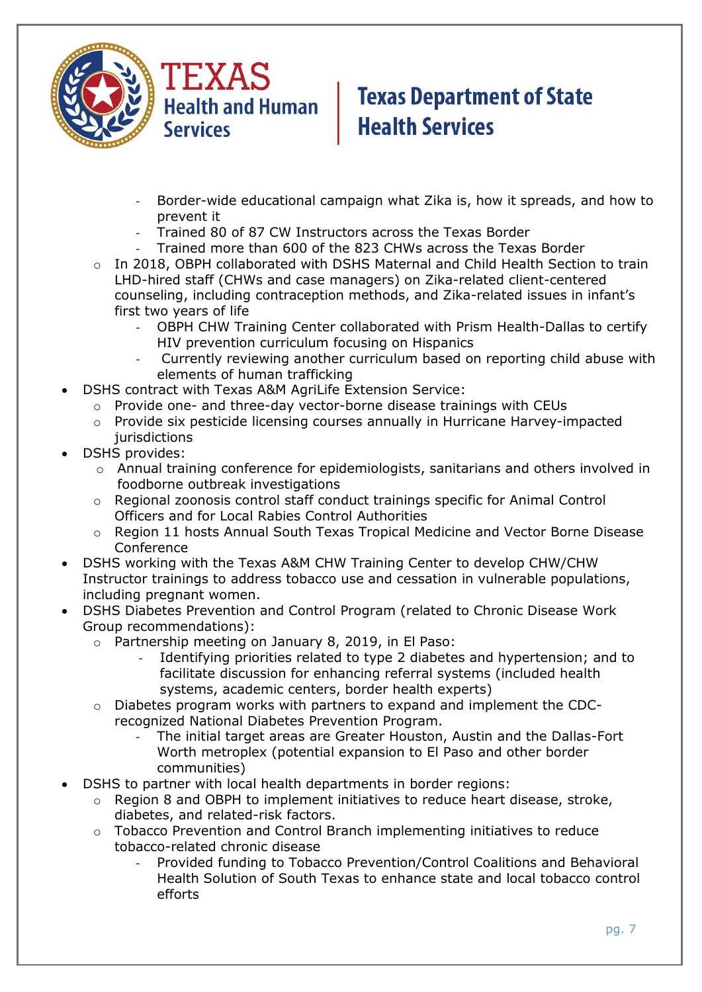

- Border-wide educational campaign what Zika is, how it spreads, and how to prevent it
- Trained 80 of 87 CW Instructors across the Texas Border
- Trained more than 600 of the 823 CHWs across the Texas Border
- o In 2018, OBPH collaborated with DSHS Maternal and Child Health Section to train LHD-hired staff (CHWs and case managers) on Zika-related client-centered counseling, including contraception methods, and Zika-related issues in infant's first two years of life
	- OBPH CHW Training Center collaborated with Prism Health-Dallas to certify HIV prevention curriculum focusing on Hispanics
	- Currently reviewing another curriculum based on reporting child abuse with elements of human trafficking
- DSHS contract with Texas A&M AgriLife Extension Service:
	- o Provide one- and three-day vector-borne disease trainings with CEUs
		- o Provide six pesticide licensing courses annually in Hurricane Harvey-impacted jurisdictions
- DSHS provides:
	- $\circ$  Annual training conference for epidemiologists, sanitarians and others involved in foodborne outbreak investigations
	- o Regional zoonosis control staff conduct trainings specific for Animal Control Officers and for Local Rabies Control Authorities
	- o Region 11 hosts Annual South Texas Tropical Medicine and Vector Borne Disease **Conference**
- DSHS working with the Texas A&M CHW Training Center to develop CHW/CHW Instructor trainings to address tobacco use and cessation in vulnerable populations, including pregnant women.
- DSHS Diabetes Prevention and Control Program (related to Chronic Disease Work Group recommendations):
	- o Partnership meeting on January 8, 2019, in El Paso:
		- Identifying priorities related to type 2 diabetes and hypertension; and to facilitate discussion for enhancing referral systems (included health systems, academic centers, border health experts)
	- o Diabetes program works with partners to expand and implement the CDCrecognized National Diabetes Prevention Program.
		- The initial target areas are Greater Houston, Austin and the Dallas-Fort Worth metroplex (potential expansion to El Paso and other border communities)
	- DSHS to partner with local health departments in border regions:
		- $\circ$  Region 8 and OBPH to implement initiatives to reduce heart disease, stroke, diabetes, and related-risk factors.
		- o Tobacco Prevention and Control Branch implementing initiatives to reduce tobacco-related chronic disease
			- Provided funding to Tobacco Prevention/Control Coalitions and Behavioral Health Solution of South Texas to enhance state and local tobacco control efforts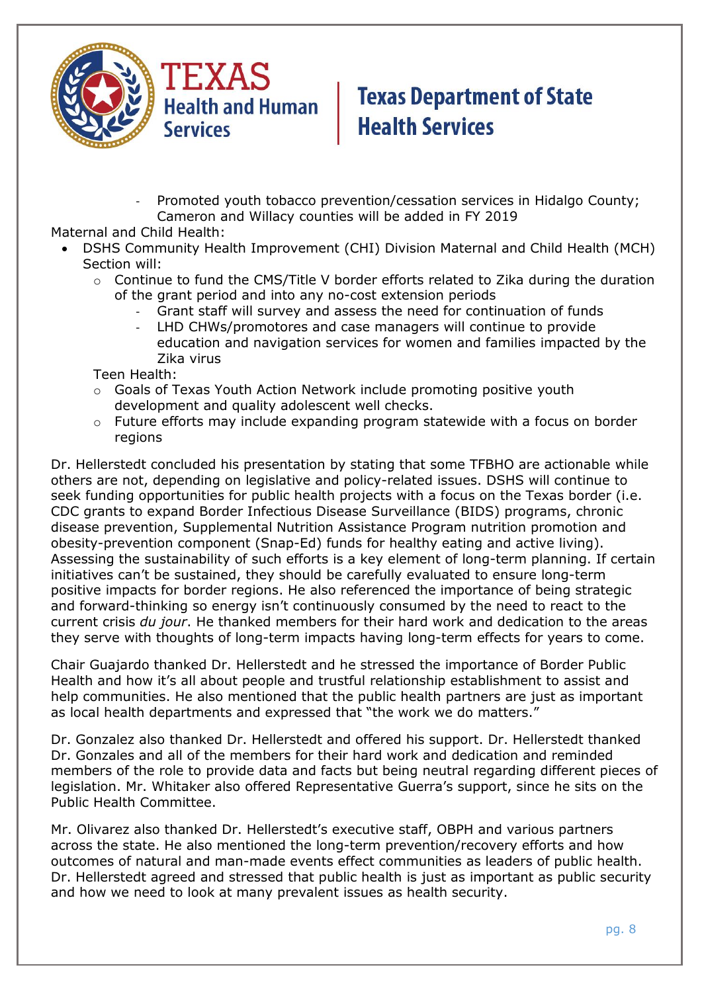

Promoted youth tobacco prevention/cessation services in Hidalgo County; Cameron and Willacy counties will be added in FY 2019

Maternal and Child Health:

- DSHS Community Health Improvement (CHI) Division Maternal and Child Health (MCH) Section will:
	- $\circ$  Continue to fund the CMS/Title V border efforts related to Zika during the duration of the grant period and into any no-cost extension periods
		- Grant staff will survey and assess the need for continuation of funds
		- LHD CHWs/promotores and case managers will continue to provide education and navigation services for women and families impacted by the Zika virus

Teen Health:

- $\circ$  Goals of Texas Youth Action Network include promoting positive youth development and quality adolescent well checks.
- o Future efforts may include expanding program statewide with a focus on border regions

Dr. Hellerstedt concluded his presentation by stating that some TFBHO are actionable while others are not, depending on legislative and policy-related issues. DSHS will continue to seek funding opportunities for public health projects with a focus on the Texas border (i.e. CDC grants to expand Border Infectious Disease Surveillance (BIDS) programs, chronic disease prevention, Supplemental Nutrition Assistance Program nutrition promotion and obesity-prevention component (Snap-Ed) funds for healthy eating and active living). Assessing the sustainability of such efforts is a key element of long-term planning. If certain initiatives can't be sustained, they should be carefully evaluated to ensure long-term positive impacts for border regions. He also referenced the importance of being strategic and forward-thinking so energy isn't continuously consumed by the need to react to the current crisis *du jour*. He thanked members for their hard work and dedication to the areas they serve with thoughts of long-term impacts having long-term effects for years to come.

Chair Guajardo thanked Dr. Hellerstedt and he stressed the importance of Border Public Health and how it's all about people and trustful relationship establishment to assist and help communities. He also mentioned that the public health partners are just as important as local health departments and expressed that "the work we do matters."

Dr. Gonzalez also thanked Dr. Hellerstedt and offered his support. Dr. Hellerstedt thanked Dr. Gonzales and all of the members for their hard work and dedication and reminded members of the role to provide data and facts but being neutral regarding different pieces of legislation. Mr. Whitaker also offered Representative Guerra's support, since he sits on the Public Health Committee.

Mr. Olivarez also thanked Dr. Hellerstedt's executive staff, OBPH and various partners across the state. He also mentioned the long-term prevention/recovery efforts and how outcomes of natural and man-made events effect communities as leaders of public health. Dr. Hellerstedt agreed and stressed that public health is just as important as public security and how we need to look at many prevalent issues as health security.